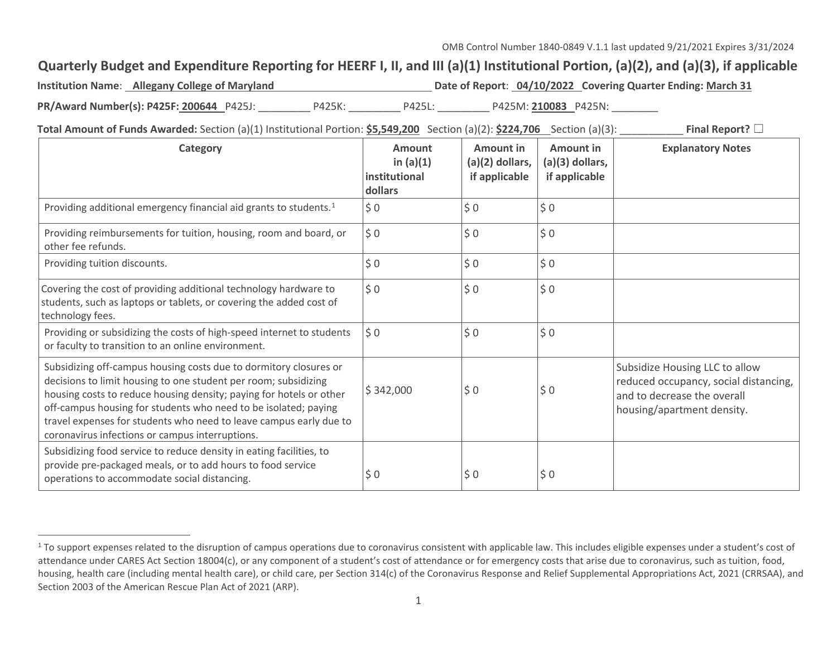## **Quarterly Budget and Expenditure Reporting for HEERF I, II, and III (a)(1) Institutional Portion, (a)(2), and (a)(3), if applicable**

| <b>Institution Name: Allegany College of Maryland</b> |        |        | Date of Report: 04/10/2022 Covering Quarter Ending: March 31 |
|-------------------------------------------------------|--------|--------|--------------------------------------------------------------|
| PR/Award Number(s): P425F: 200644 P425J:              | P425K: | P425L: | P425M: 210083 P425N:                                         |

**Total Amount of Funds Awarded:** Section (a)(1) Institutional Portion: **\$5,549,200** Section (a)(2): **\$224,706** Section (a)(3): **Final Report?** □

| Category                                                                                                                                                                                                                                                                                                                                                                                                | <b>Amount</b><br>in $(a)(1)$<br>institutional<br>dollars | <b>Amount in</b><br>$(a)(2)$ dollars,<br>if applicable | Amount in<br>$(a)(3)$ dollars,<br>if applicable | <b>Explanatory Notes</b>                                                                                                             |
|---------------------------------------------------------------------------------------------------------------------------------------------------------------------------------------------------------------------------------------------------------------------------------------------------------------------------------------------------------------------------------------------------------|----------------------------------------------------------|--------------------------------------------------------|-------------------------------------------------|--------------------------------------------------------------------------------------------------------------------------------------|
| Providing additional emergency financial aid grants to students. <sup>1</sup>                                                                                                                                                                                                                                                                                                                           | \$0                                                      | \$0                                                    | \$0                                             |                                                                                                                                      |
| Providing reimbursements for tuition, housing, room and board, or<br>other fee refunds.                                                                                                                                                                                                                                                                                                                 | $\frac{1}{2}$ 0                                          | \$0                                                    | \$0                                             |                                                                                                                                      |
| Providing tuition discounts.                                                                                                                                                                                                                                                                                                                                                                            | \$0                                                      | \$0                                                    | \$0                                             |                                                                                                                                      |
| Covering the cost of providing additional technology hardware to<br>students, such as laptops or tablets, or covering the added cost of<br>technology fees.                                                                                                                                                                                                                                             | $\frac{1}{2}$ 0                                          | \$0                                                    | \$0                                             |                                                                                                                                      |
| Providing or subsidizing the costs of high-speed internet to students<br>or faculty to transition to an online environment.                                                                                                                                                                                                                                                                             | $\frac{1}{2}$ 0                                          | \$0                                                    | \$0                                             |                                                                                                                                      |
| Subsidizing off-campus housing costs due to dormitory closures or<br>decisions to limit housing to one student per room; subsidizing<br>housing costs to reduce housing density; paying for hotels or other<br>off-campus housing for students who need to be isolated; paying<br>travel expenses for students who need to leave campus early due to<br>coronavirus infections or campus interruptions. | \$342,000                                                | \$0                                                    | \$0                                             | Subsidize Housing LLC to allow<br>reduced occupancy, social distancing,<br>and to decrease the overall<br>housing/apartment density. |
| Subsidizing food service to reduce density in eating facilities, to<br>provide pre-packaged meals, or to add hours to food service<br>operations to accommodate social distancing.                                                                                                                                                                                                                      | \$0                                                      | \$0                                                    | \$0                                             |                                                                                                                                      |

<sup>&</sup>lt;sup>1</sup> To support expenses related to the disruption of campus operations due to coronavirus consistent with applicable law. This includes eligible expenses under a student's cost of attendance under CARES Act Section 18004(c), or any component of a student's cost of attendance or for emergency costs that arise due to coronavirus, such as tuition, food, housing, health care (including mental health care), or child care, per Section 314(c) of the Coronavirus Response and Relief Supplemental Appropriations Act, 2021 (CRRSAA), and Section 2003 of the American Rescue Plan Act of 2021 (ARP).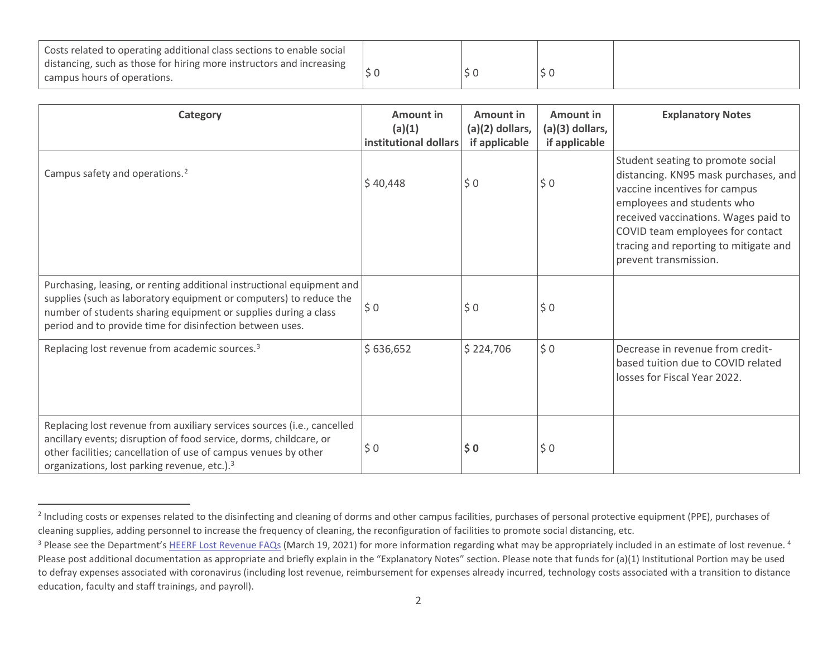| Costs related to operating additional class sections to enable social |  |  |
|-----------------------------------------------------------------------|--|--|
| distancing, such as those for hiring more instructors and increasing  |  |  |
| campus hours of operations.                                           |  |  |

| Category                                                                                                                                                                                                                                                                     | Amount in<br>(a)(1)<br>institutional dollars | Amount in<br>$(a)(2)$ dollars,<br>if applicable | Amount in<br>(a)(3) dollars,<br>if applicable | <b>Explanatory Notes</b>                                                                                                                                                                                                                                                               |
|------------------------------------------------------------------------------------------------------------------------------------------------------------------------------------------------------------------------------------------------------------------------------|----------------------------------------------|-------------------------------------------------|-----------------------------------------------|----------------------------------------------------------------------------------------------------------------------------------------------------------------------------------------------------------------------------------------------------------------------------------------|
| Campus safety and operations. <sup>2</sup>                                                                                                                                                                                                                                   | \$40,448                                     | \$0                                             | \$0                                           | Student seating to promote social<br>distancing. KN95 mask purchases, and<br>vaccine incentives for campus<br>employees and students who<br>received vaccinations. Wages paid to<br>COVID team employees for contact<br>tracing and reporting to mitigate and<br>prevent transmission. |
| Purchasing, leasing, or renting additional instructional equipment and<br>supplies (such as laboratory equipment or computers) to reduce the<br>number of students sharing equipment or supplies during a class<br>period and to provide time for disinfection between uses. | $\frac{1}{2}$ 0                              | \$0                                             | \$0                                           |                                                                                                                                                                                                                                                                                        |
| Replacing lost revenue from academic sources. <sup>3</sup>                                                                                                                                                                                                                   | \$636,652                                    | \$224,706                                       | \$0                                           | Decrease in revenue from credit-<br>based tuition due to COVID related<br>losses for Fiscal Year 2022.                                                                                                                                                                                 |
| Replacing lost revenue from auxiliary services sources (i.e., cancelled<br>ancillary events; disruption of food service, dorms, childcare, or<br>other facilities; cancellation of use of campus venues by other<br>organizations, lost parking revenue, etc.). <sup>3</sup> | \$0                                          | \$0                                             | \$0                                           |                                                                                                                                                                                                                                                                                        |

<sup>&</sup>lt;sup>2</sup> Including costs or expenses related to the disinfecting and cleaning of dorms and other campus facilities, purchases of personal protective equipment (PPE), purchases of cleaning supplies, adding personnel to increase the frequency of cleaning, the reconfiguration of facilities to promote social distancing, etc.

<sup>&</sup>lt;sup>3</sup> Please see the Department's HEERF Lost Revenue FAQs (March 19, 2021) for more information regarding what may be appropriately included in an estimate of lost revenue.<sup>4</sup> Please post additional documentation as appropriate and briefly explain in the "Explanatory Notes" section. Please note that funds for (a)(1) Institutional Portion may be used to defray expenses associated with coronavirus (including lost revenue, reimbursement for expenses already incurred, technology costs associated with a transition to distance education, faculty and staff trainings, and payroll).